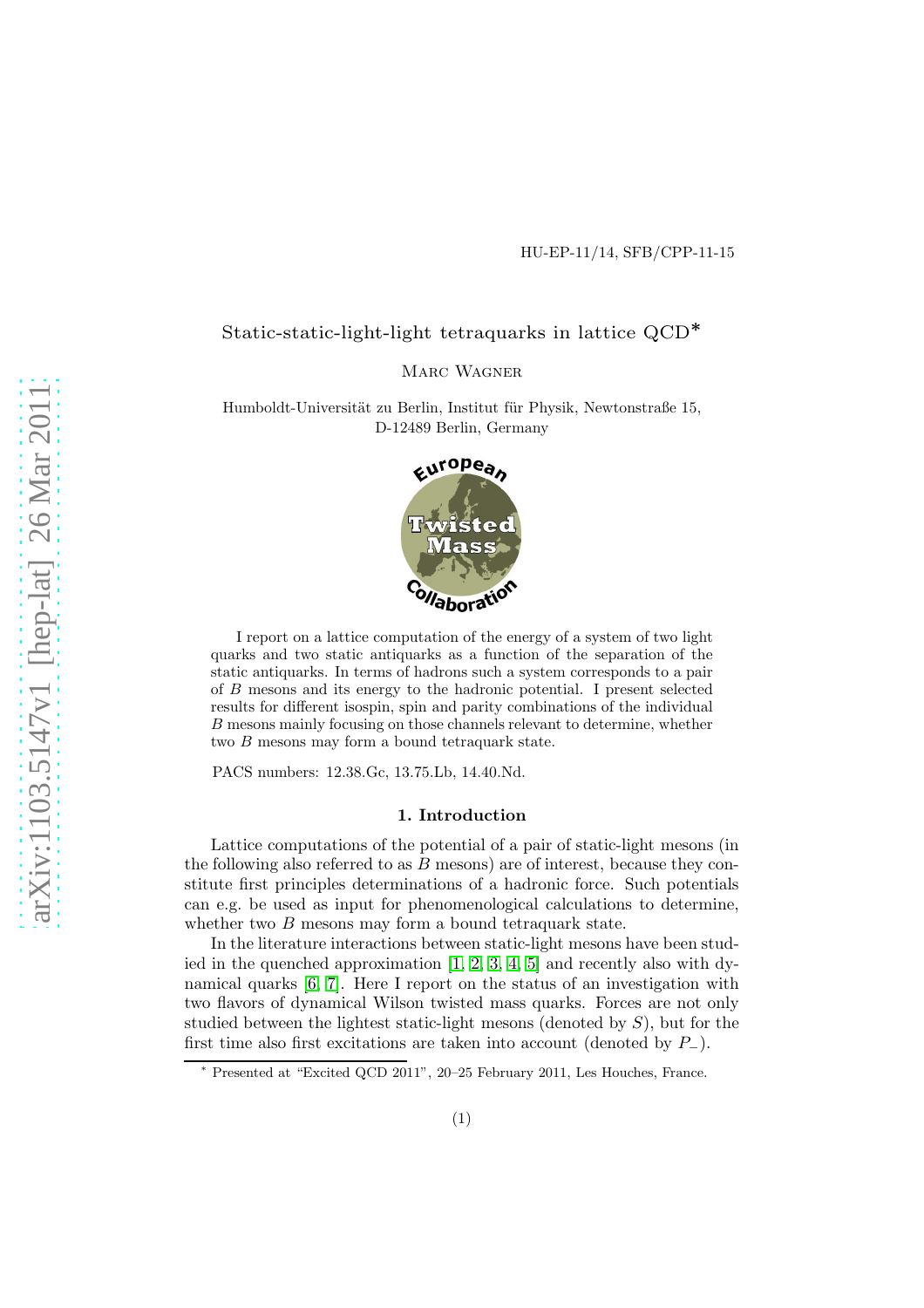# Static-static-light-light tetraquarks in lattice QCD<sup>∗</sup>

MARC WAGNER

Humboldt-Universität zu Berlin, Institut für Physik, Newtonstraße 15, D-12489 Berlin, Germany



I report on a lattice computation of the energy of a system of two light quarks and two static antiquarks as a function of the separation of the static antiquarks. In terms of hadrons such a system corresponds to a pair of B mesons and its energy to the hadronic potential. I present selected results for different isospin, spin and parity combinations of the individual B mesons mainly focusing on those channels relevant to determine, whether two B mesons may form a bound tetraquark state.

PACS numbers: 12.38.Gc, 13.75.Lb, 14.40.Nd.

## 1. Introduction

Lattice computations of the potential of a pair of static-light mesons (in the following also referred to as  $B$  mesons) are of interest, because they constitute first principles determinations of a hadronic force. Such potentials can e.g. be used as input for phenomenological calculations to determine, whether two  $B$  mesons may form a bound tetraquark state.

In the literature interactions between static-light mesons have been studied in the quenched approximation  $[1, 2, 3, 4, 5]$  $[1, 2, 3, 4, 5]$  $[1, 2, 3, 4, 5]$  $[1, 2, 3, 4, 5]$  $[1, 2, 3, 4, 5]$  and recently also with dynamical quarks [\[6,](#page-5-5) [7\]](#page-5-6). Here I report on the status of an investigation with two flavors of dynamical Wilson twisted mass quarks. Forces are not only studied between the lightest static-light mesons (denoted by  $S$ ), but for the first time also first excitations are taken into account (denoted by  $P_-\$ ).

<sup>∗</sup> Presented at "Excited QCD 2011", 20–25 February 2011, Les Houches, France.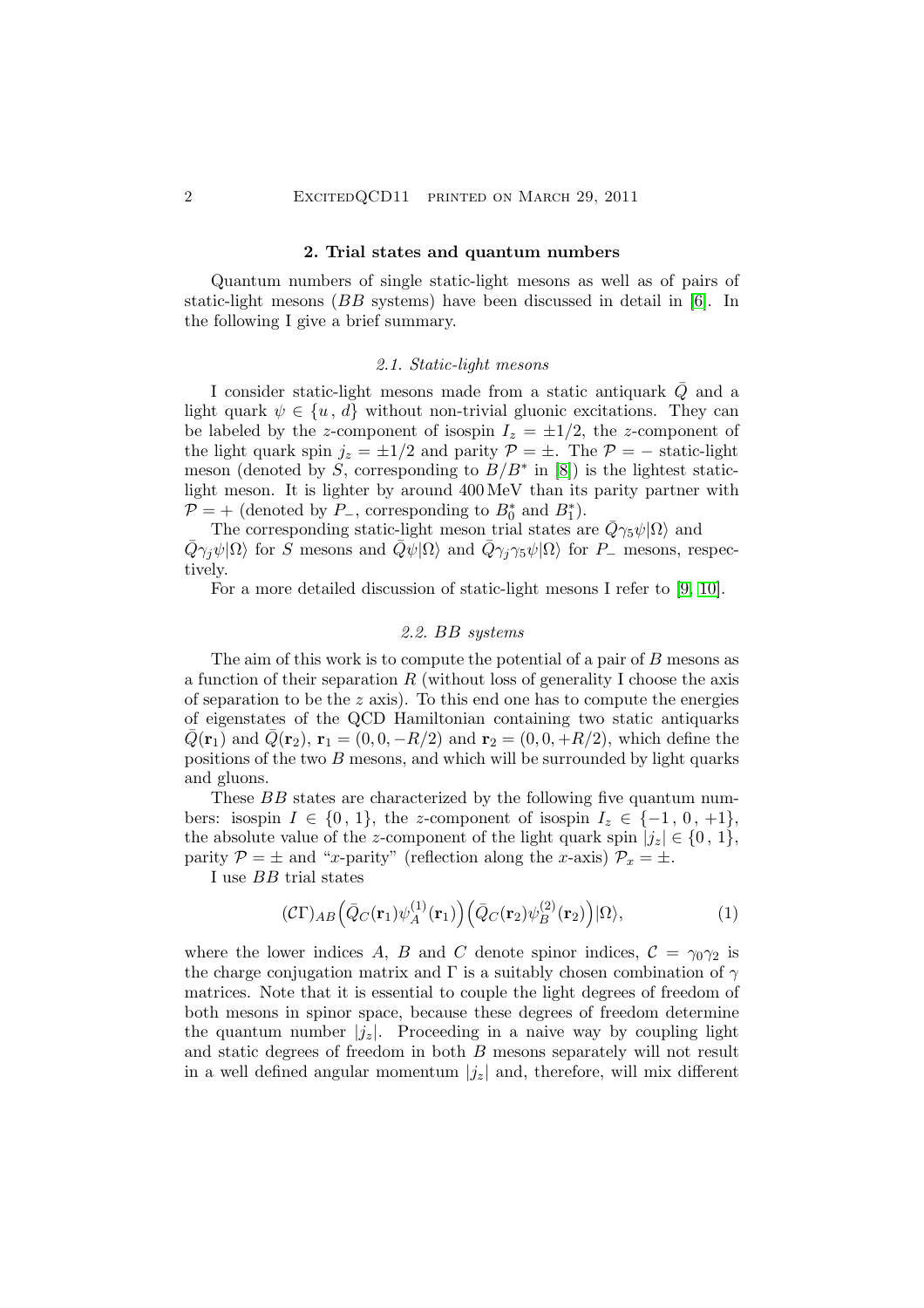#### 2. Trial states and quantum numbers

Quantum numbers of single static-light mesons as well as of pairs of static-light mesons (BB systems) have been discussed in detail in [\[6\]](#page-5-5). In the following I give a brief summary.

## 2.1. Static-light mesons

I consider static-light mesons made from a static antiquark  $\overline{Q}$  and a light quark  $\psi \in \{u, d\}$  without non-trivial gluonic excitations. They can be labeled by the z-component of isospin  $I_z = \pm 1/2$ , the z-component of the light quark spin  $j_z = \pm 1/2$  and parity  $\mathcal{P} = \pm$ . The  $\mathcal{P} = -$  static-light meson (denoted by S, corresponding to  $B/B^*$  in [\[8\]](#page-5-7)) is the lightest staticlight meson. It is lighter by around 400 MeV than its parity partner with  $\mathcal{P}$  = + (denoted by  $P_$ , corresponding to  $B_0^*$  and  $B_1^*$ ).

The corresponding static-light meson trial states are  $\bar{Q}\gamma_5\psi|\Omega\rangle$  and  $\bar{Q}\gamma_j\psi|\Omega\rangle$  for S mesons and  $\bar{Q}\bar{\psi}|\Omega\rangle$  and  $\bar{Q}\gamma_j\gamma_5\psi|\Omega\rangle$  for P<sub>-</sub> mesons, respectively.

<span id="page-1-1"></span>For a more detailed discussion of static-light mesons I refer to [\[9,](#page-5-8) [10\]](#page-5-9).

#### 2.2. BB systems

The aim of this work is to compute the potential of a pair of B mesons as a function of their separation  $R$  (without loss of generality I choose the axis of separation to be the  $z$  axis). To this end one has to compute the energies of eigenstates of the QCD Hamiltonian containing two static antiquarks  $\bar{Q}({\bf r}_1)$  and  $\bar{Q}({\bf r}_2), {\bf r}_1 = (0, 0, -R/2)$  and  ${\bf r}_2 = (0, 0, +R/2)$ , which define the positions of the two  $B$  mesons, and which will be surrounded by light quarks and gluons.

These BB states are characterized by the following five quantum numbers: isospin  $I \in \{0, 1\}$ , the z-component of isospin  $I_z \in \{-1, 0, +1\}$ , the absolute value of the z-component of the light quark spin  $|j_z| \in \{0, 1\}$ , parity  $\mathcal{P} = \pm$  and "x-parity" (reflection along the x-axis)  $\mathcal{P}_x = \pm$ .

I use BB trial states

<span id="page-1-0"></span>
$$
(\mathcal{C}\Gamma)_{AB} \Big(\bar{Q}_C(\mathbf{r}_1)\psi_A^{(1)}(\mathbf{r}_1)\Big) \Big(\bar{Q}_C(\mathbf{r}_2)\psi_B^{(2)}(\mathbf{r}_2)\Big) |\Omega\rangle, \tag{1}
$$

where the lower indices A, B and C denote spinor indices,  $C = \gamma_0 \gamma_2$  is the charge conjugation matrix and  $\Gamma$  is a suitably chosen combination of  $\gamma$ matrices. Note that it is essential to couple the light degrees of freedom of both mesons in spinor space, because these degrees of freedom determine the quantum number  $|j_z|$ . Proceeding in a naive way by coupling light and static degrees of freedom in both B mesons separately will not result in a well defined angular momentum  $|j_z|$  and, therefore, will mix different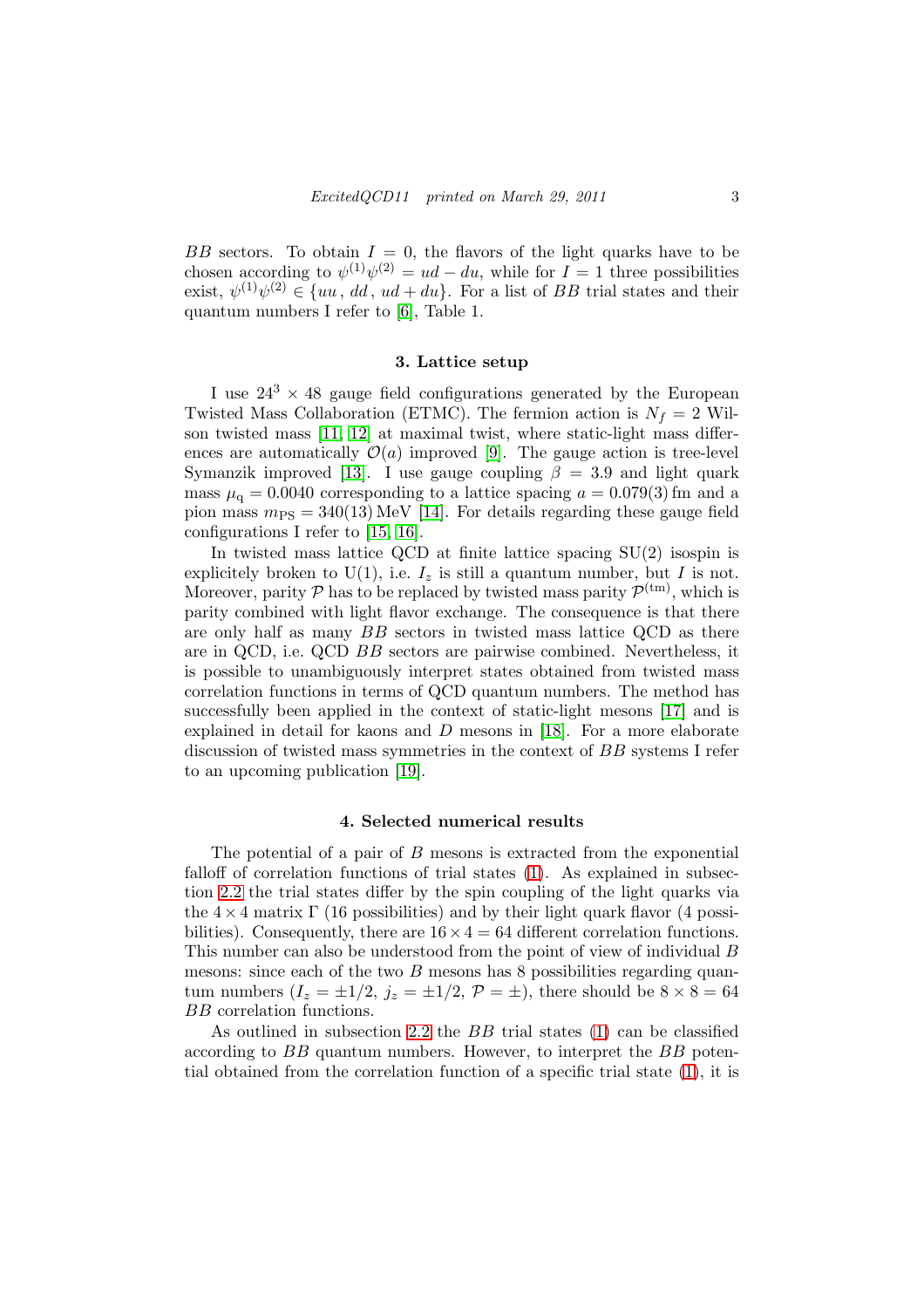BB sectors. To obtain  $I = 0$ , the flavors of the light quarks have to be chosen according to  $\psi^{(1)}\psi^{(2)} = ud - du$ , while for  $I = 1$  three possibilities exist,  $\psi^{(1)}\psi^{(2)} \in \{uu, dd, ud + du\}$ . For a list of BB trial states and their quantum numbers I refer to [\[6\]](#page-5-5), Table 1.

## 3. Lattice setup

I use  $24^3 \times 48$  gauge field configurations generated by the European Twisted Mass Collaboration (ETMC). The fermion action is  $N_f = 2$  Wilson twisted mass [\[11,](#page-5-10) [12\]](#page-5-11) at maximal twist, where static-light mass differences are automatically  $\mathcal{O}(a)$  improved [\[9\]](#page-5-8). The gauge action is tree-level Symanzik improved [\[13\]](#page-5-12). I use gauge coupling  $\beta = 3.9$  and light quark mass  $\mu_q = 0.0040$  corresponding to a lattice spacing  $a = 0.079(3)$  fm and a pion mass  $m_{\text{PS}} = 340(13) \,\text{MeV}$  [\[14\]](#page-5-13). For details regarding these gauge field configurations I refer to [\[15,](#page-5-14) [16\]](#page-5-15).

In twisted mass lattice QCD at finite lattice spacing SU(2) isospin is explicitely broken to U(1), i.e.  $I_z$  is still a quantum number, but I is not. Moreover, parity  $P$  has to be replaced by twisted mass parity  $P^{(tm)}$ , which is parity combined with light flavor exchange. The consequence is that there are only half as many BB sectors in twisted mass lattice QCD as there are in QCD, i.e. QCD BB sectors are pairwise combined. Nevertheless, it is possible to unambiguously interpret states obtained from twisted mass correlation functions in terms of QCD quantum numbers. The method has successfully been applied in the context of static-light mesons [\[17\]](#page-5-16) and is explained in detail for kaons and  $D$  mesons in [\[18\]](#page-5-17). For a more elaborate discussion of twisted mass symmetries in the context of BB systems I refer to an upcoming publication [\[19\]](#page-5-18).

#### 4. Selected numerical results

The potential of a pair of B mesons is extracted from the exponential falloff of correlation functions of trial states [\(1\)](#page-1-0). As explained in subsection [2.2](#page-1-1) the trial states differ by the spin coupling of the light quarks via the  $4 \times 4$  matrix  $\Gamma$  (16 possibilities) and by their light quark flavor (4 possibilities). Consequently, there are  $16 \times 4 = 64$  different correlation functions. This number can also be understood from the point of view of individual B mesons: since each of the two  $B$  mesons has 8 possibilities regarding quantum numbers  $(I_z = \pm 1/2, j_z = \pm 1/2, \mathcal{P} = \pm)$ , there should be  $8 \times 8 = 64$ BB correlation functions.

As outlined in subsection [2.2](#page-1-1) the BB trial states [\(1\)](#page-1-0) can be classified according to BB quantum numbers. However, to interpret the BB potential obtained from the correlation function of a specific trial state [\(1\)](#page-1-0), it is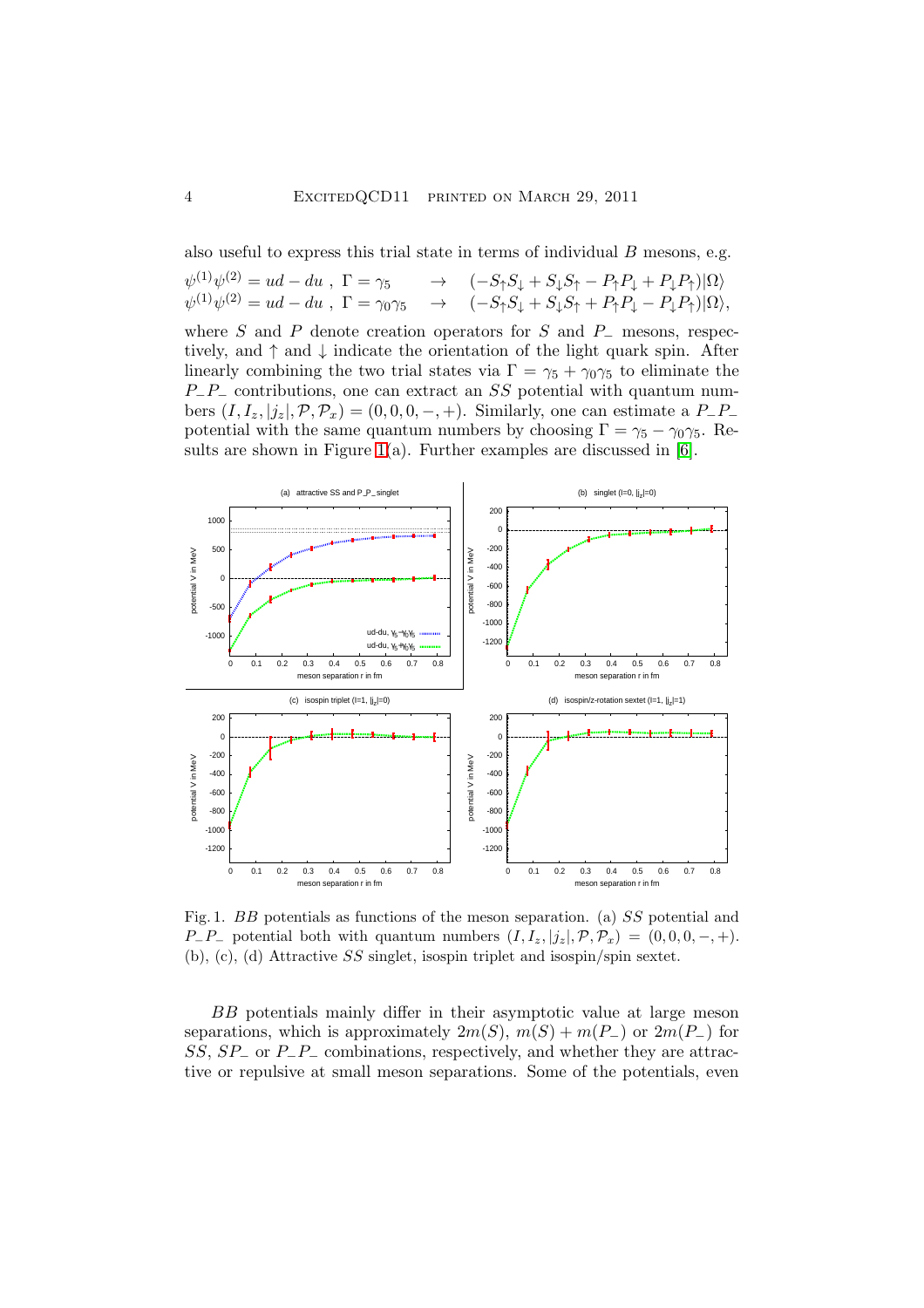also useful to express this trial state in terms of individual B mesons, e.g.

| $\psi^{(1)}\psi^{(2)} = ud - du$ , $\Gamma = \gamma_5$ | $\rightarrow$ $(-S_{\uparrow}S_{\downarrow} + S_{\downarrow}S_{\uparrow} - P_{\uparrow}P_{\downarrow} + P_{\downarrow}P_{\uparrow}) \Omega\rangle$                                                             |
|--------------------------------------------------------|----------------------------------------------------------------------------------------------------------------------------------------------------------------------------------------------------------------|
|                                                        | $\psi^{(1)}\psi^{(2)} = ud - du$ , $\Gamma = \gamma_0\gamma_5 \rightarrow (-S_{\uparrow}S_{\downarrow} + S_{\downarrow}S_{\uparrow} + P_{\uparrow}P_{\downarrow} - P_{\downarrow}P_{\uparrow}) \Omega\rangle,$ |

where S and P denote creation operators for S and  $P_-\$  mesons, respectively, and  $\uparrow$  and  $\downarrow$  indicate the orientation of the light quark spin. After linearly combining the two trial states via  $\Gamma = \gamma_5 + \gamma_0 \gamma_5$  to eliminate the  $P_{-}P_{-}$  contributions, one can extract an SS potential with quantum numbers  $(I, I_z, |j_z|, \mathcal{P}, \mathcal{P}_x) = (0, 0, 0, -, +)$ . Similarly, one can estimate a P\_P\_ potential with the same quantum numbers by choosing  $\Gamma = \gamma_5 - \gamma_0 \gamma_5$ . Re-sults are shown in Figure [1\(](#page-3-0)a). Further examples are discussed in  $[6]$ .



<span id="page-3-0"></span>Fig. 1. BB potentials as functions of the meson separation. (a) SS potential and  $P_P-P_-\text{potential both with quantum numbers } (I, I_z, |j_z|, \mathcal{P}, \mathcal{P}_x) = (0, 0, 0, -, +).$ (b), (c), (d) Attractive SS singlet, isospin triplet and isospin/spin sextet.

BB potentials mainly differ in their asymptotic value at large meson separations, which is approximately  $2m(S)$ ,  $m(S) + m(P_{-})$  or  $2m(P_{-})$  for  $SS, SP_$  or  $P_$ - $P_$  combinations, respectively, and whether they are attractive or repulsive at small meson separations. Some of the potentials, even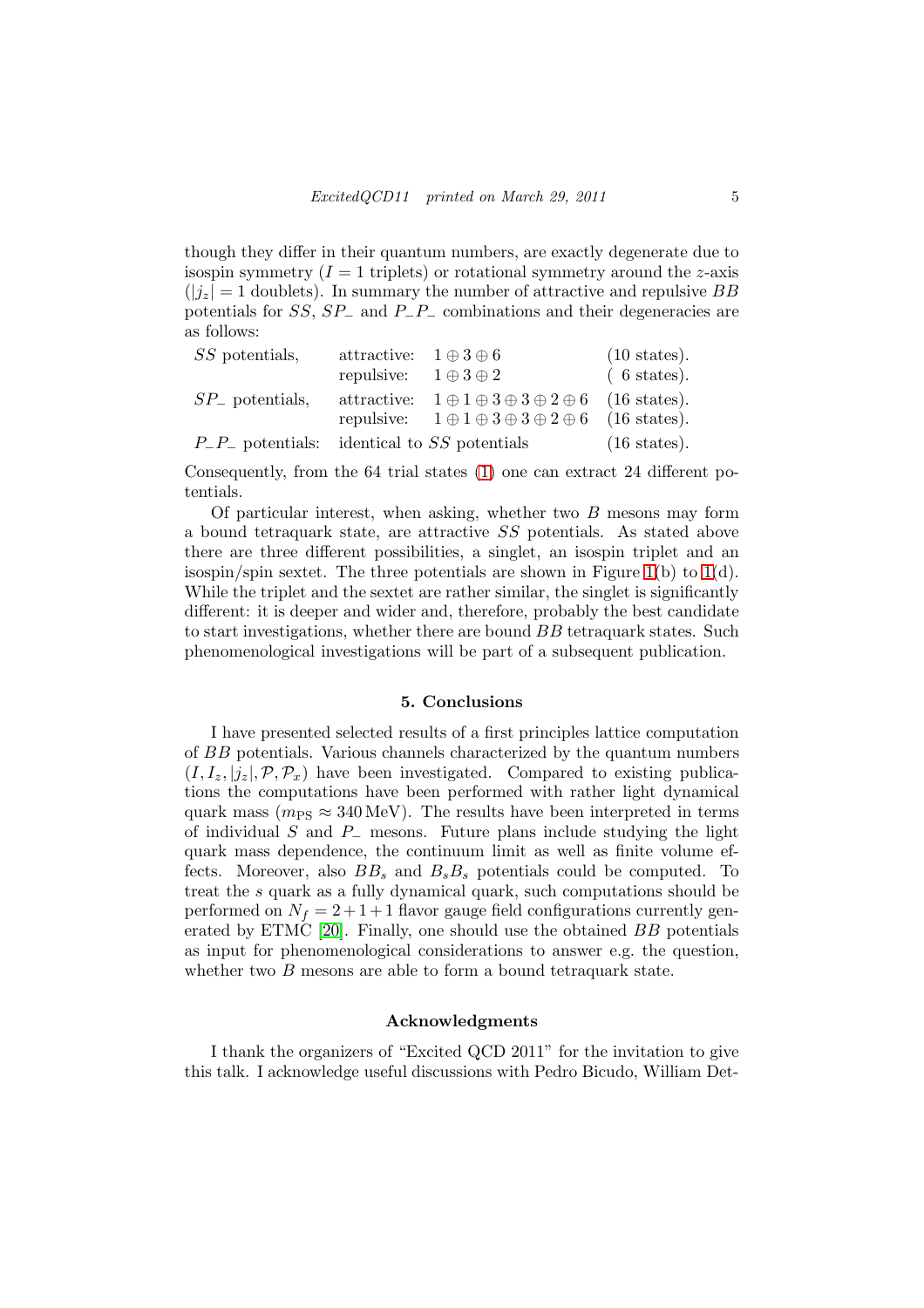though they differ in their quantum numbers, are exactly degenerate due to isospin symmetry  $(I = 1$  triplets) or rotational symmetry around the z-axis  $(|j_z| = 1$  doublets). In summary the number of attractive and repulsive BB potentials for  $SS$ ,  $SP_$  and  $P_$ - $P_$  combinations and their degeneracies are as follows:

| SS potentials,                                      | attractive: $1 \oplus 3 \oplus 6$ |                                                                           | $(10 \text{ states}).$ |
|-----------------------------------------------------|-----------------------------------|---------------------------------------------------------------------------|------------------------|
|                                                     | repulsive: $1 \oplus 3 \oplus 2$  |                                                                           | $(6 \text{ states}).$  |
| $SP_{-}$ potentials,                                |                                   | attractive: $1 \oplus 1 \oplus 3 \oplus 3 \oplus 2 \oplus 6$ (16 states). |                        |
|                                                     |                                   | repulsive: $1 \oplus 1 \oplus 3 \oplus 3 \oplus 2 \oplus 6$ (16 states).  |                        |
| $P_{-}P_{-}$ potentials: identical to SS potentials |                                   |                                                                           | $(16 \text{ states}).$ |

Consequently, from the 64 trial states [\(1\)](#page-1-0) one can extract 24 different potentials.

Of particular interest, when asking, whether two  $B$  mesons may form a bound tetraquark state, are attractive SS potentials. As stated above there are three different possibilities, a singlet, an isospin triplet and an isospin/spin sextet. The three potentials are shown in Figure [1\(](#page-3-0)b) to  $1(d)$ . While the triplet and the sextet are rather similar, the singlet is significantly different: it is deeper and wider and, therefore, probably the best candidate to start investigations, whether there are bound BB tetraquark states. Such phenomenological investigations will be part of a subsequent publication.

#### 5. Conclusions

I have presented selected results of a first principles lattice computation of BB potentials. Various channels characterized by the quantum numbers  $(I, I_z, |j_z|, \mathcal{P}, \mathcal{P}_x)$  have been investigated. Compared to existing publications the computations have been performed with rather light dynamical quark mass ( $m_{PS} \approx 340 \,\text{MeV}$ ). The results have been interpreted in terms of individual S and  $P_$  mesons. Future plans include studying the light quark mass dependence, the continuum limit as well as finite volume effects. Moreover, also  $BB_s$  and  $B_sB_s$  potentials could be computed. To treat the s quark as a fully dynamical quark, such computations should be performed on  $N_f = 2 + 1 + 1$  flavor gauge field configurations currently generated by ETMC [\[20\]](#page-5-19). Finally, one should use the obtained BB potentials as input for phenomenological considerations to answer e.g. the question, whether two  $B$  mesons are able to form a bound tetraquark state.

## Acknowledgments

I thank the organizers of "Excited QCD 2011" for the invitation to give this talk. I acknowledge useful discussions with Pedro Bicudo, William Det